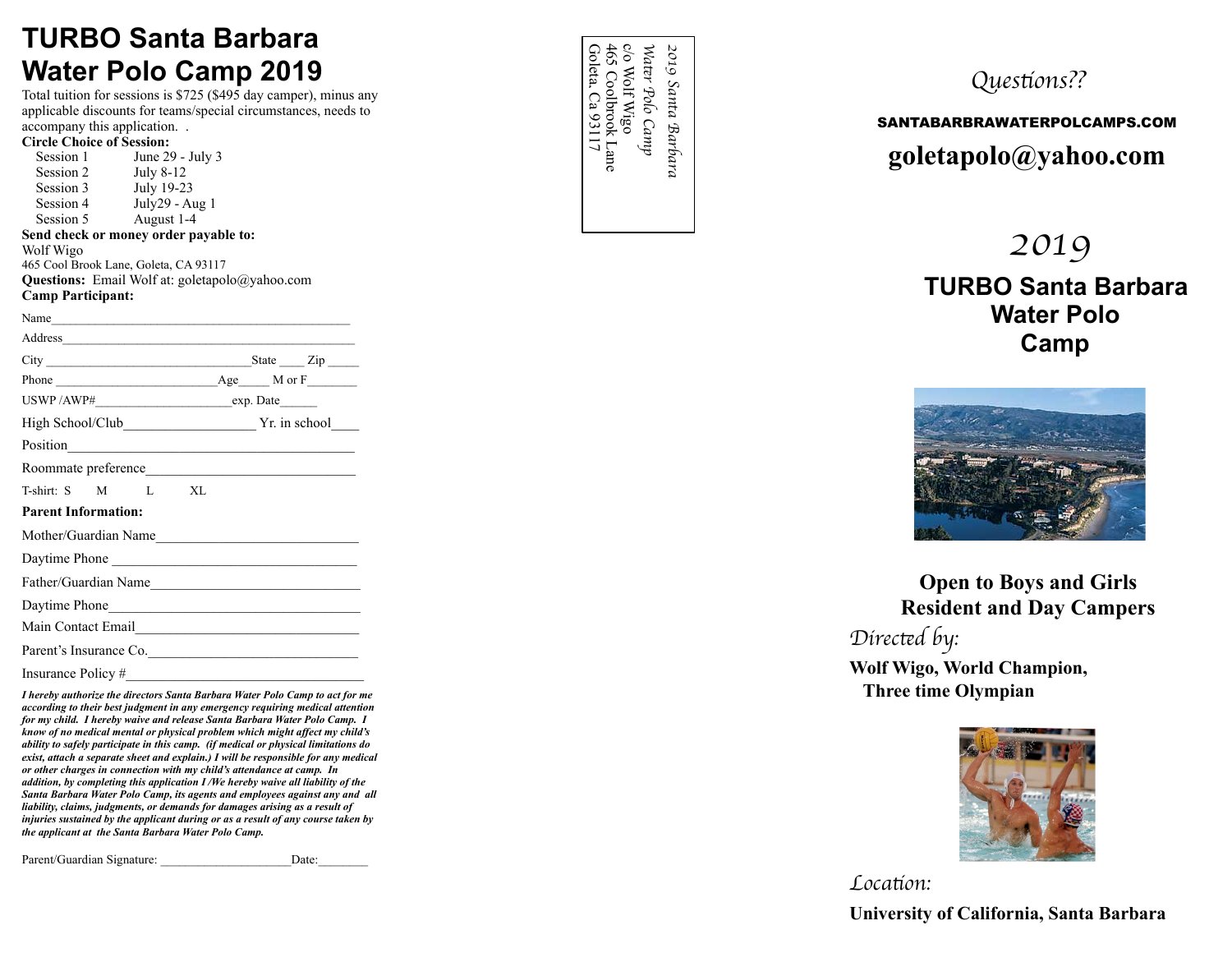### **TURBO Santa Barbara Water Polo Camp 2019**

Total tuition for sessions is \$725 (\$495 day camper), minus any applicable discounts for teams/special circumstances, needs to accompany this application. .

| <b>Circle Choice of Session:</b>                                                                              |  |  |  |
|---------------------------------------------------------------------------------------------------------------|--|--|--|
| Session 1 June 29 - July 3                                                                                    |  |  |  |
| Session 2 July 8-12                                                                                           |  |  |  |
| Session 3 July 19-23                                                                                          |  |  |  |
| Session 4 July 29 - Aug 1                                                                                     |  |  |  |
| Session 5 August 1-4                                                                                          |  |  |  |
| Send check or money order payable to:                                                                         |  |  |  |
| Wolf Wigo<br>465 Cool Brook Lane, Goleta, CA 93117                                                            |  |  |  |
| <b>Questions:</b> Email Wolf at: $g$ oletapolo $\omega$ vahoo.com                                             |  |  |  |
| <b>Camp Participant:</b>                                                                                      |  |  |  |
| Name                                                                                                          |  |  |  |
| Address                                                                                                       |  |  |  |
|                                                                                                               |  |  |  |
|                                                                                                               |  |  |  |
|                                                                                                               |  |  |  |
|                                                                                                               |  |  |  |
| Position Position Position Provider and Provider Provider and Provider and Provider and Provider and Provider |  |  |  |
| Roommate preference                                                                                           |  |  |  |
| T-shirt: S M L XL                                                                                             |  |  |  |
| <b>Parent Information:</b>                                                                                    |  |  |  |
| Mother/Guardian Name                                                                                          |  |  |  |
| Daytime Phone                                                                                                 |  |  |  |
| Father/Guardian Name                                                                                          |  |  |  |
|                                                                                                               |  |  |  |
| Main Contact Email                                                                                            |  |  |  |
| Parent's Insurance Co.                                                                                        |  |  |  |
| Insurance Policy #                                                                                            |  |  |  |

*I hereby authorize the directors Santa Barbara Water Polo Camp to act for me according to their best judgment in any emergency requiring medical attention for my child. I hereby waive and release Santa Barbara Water Polo Camp. I know of no medical mental or physical problem which might affect my child's ability to safely participate in this camp. (if medical or physical limitations do exist, attach a separate sheet and explain.) I will be responsible for any medical or other charges in connection with my child's attendance at camp. In addition, by completing this application I /We hereby waive all liability of the Santa Barbara Water Polo Camp, its agents and employees against any and all liability, claims, judgments, or demands for damages arising as a result of injuries sustained by the applicant during or as a result of any course taken by the applicant at the Santa Barbara Water Polo Camp.* 

Parent/Guardian Signature: <br>  $Date:$ 

| ues                  | 2019<br>Яã<br>$\mathcal{S}a$ |  |
|----------------------|------------------------------|--|
| <b>SANTABARBRAWA</b> | nta<br>ີ<br>ρŠ<br>Bа         |  |
| goletapolo           | rba<br>$\sigma$<br>Þ,        |  |
|                      |                              |  |

### t*ons??*

### SANTABARBRAWATERPOLCAMPS.COM **goletapolo@yahoo.com**

### *2019*  **TURBO Santa Barbara Water Polo Camp**



**Open to Boys and Girls Resident and Day Campers** 

*Direc* t*d by:* **Wolf Wigo, World Champion, Three time Olympian** 



*Loca* t*on:* **University of California, Santa Barbara**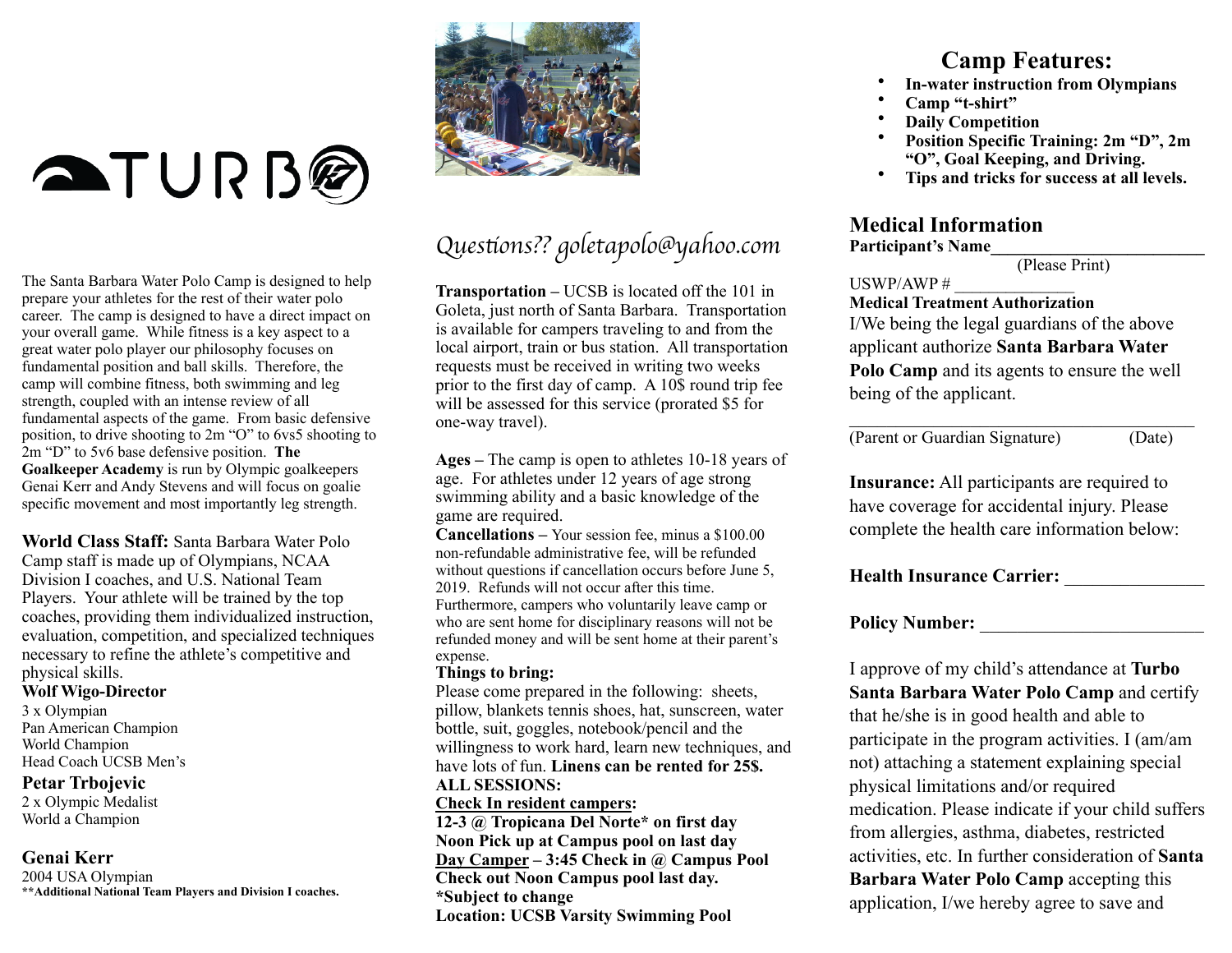# **ATURB**

The Santa Barbara Water Polo Camp is designed to help prepare your athletes for the rest of their water polo career. The camp is designed to have a direct impact on your overall game. While fitness is a key aspect to a great water polo player our philosophy focuses on fundamental position and ball skills. Therefore, the camp will combine fitness, both swimming and leg strength, coupled with an intense review of all fundamental aspects of the game. From basic defensive position, to drive shooting to 2m "O" to 6vs5 shooting to 2m "D" to 5v6 base defensive position. **The Goalkeeper Academy** is run by Olympic goalkeepers Genai Kerr and Andy Stevens and will focus on goalie specific movement and most importantly leg strength.

**World Class Staff:** Santa Barbara Water Polo Camp staff is made up of Olympians, NCAA Division I coaches, and U.S. National Team Players. Your athlete will be trained by the top coaches, providing them individualized instruction, evaluation, competition, and specialized techniques necessary to refine the athlete's competitive and physical skills.

#### **Wolf Wigo-Director**

3 x Olympian Pan American Champion World Champion Head Coach UCSB Men's

#### **Petar Trbojevic**

2 x Olympic Medalist World a Champion

### **Genai Kerr**

2004 USA Olympian **\*\*Additional National Team Players and Division I coaches.** 



## *Ques*t*ons?? goletapolo@yahoo.com*

**Transportation –** UCSB is located off the 101 in Goleta, just north of Santa Barbara. Transportation is available for campers traveling to and from the local airport, train or bus station. All transportation requests must be received in writing two weeks prior to the first day of camp. A 10\$ round trip fee will be assessed for this service (prorated \$5 for one-way travel).

**Ages –** The camp is open to athletes 10-18 years of age. For athletes under 12 years of age strong swimming ability and a basic knowledge of the game are required.

**Cancellations –** Your session fee, minus a \$100.00 non-refundable administrative fee, will be refunded without questions if cancellation occurs before June 5. 2019. Refunds will not occur after this time. Furthermore, campers who voluntarily leave camp or who are sent home for disciplinary reasons will not be refunded money and will be sent home at their parent's expense.

#### **Things to bring:**

Please come prepared in the following: sheets, pillow, blankets tennis shoes, hat, sunscreen, water bottle, suit, goggles, notebook/pencil and the willingness to work hard, learn new techniques, and have lots of fun. **Linens can be rented for 25\$. ALL SESSIONS:** 

#### **Check In resident campers:**

**12-3 @ Tropicana Del Norte\* on first day Noon Pick up at Campus pool on last day Day Camper – 3:45 Check in @ Campus Pool Check out Noon Campus pool last day. \*Subject to change Location: UCSB Varsity Swimming Pool** 

### **Camp Features:**

- **In-water instruction from Olympians**
- Camp "t-shirt"
- **Daily Competition**
- **Position Specific Training: 2m "D", 2m "O", Goal Keeping, and Driving.**
- **Tips and tricks for success at all levels.**

### **Medical Information**

#### **Participant's Name\_\_\_\_\_\_\_\_\_\_\_\_\_\_\_\_\_\_\_\_\_\_\_\_\_**

(Please Print)

#### USWP/AWP  $#$

### **Medical Treatment Authorization**

I/We being the legal guardians of the above applicant authorize **Santa Barbara Water Polo Camp** and its agents to ensure the well being of the applicant.

 $\mathcal{L}_\text{max}$  and  $\mathcal{L}_\text{max}$  and  $\mathcal{L}_\text{max}$  and  $\mathcal{L}_\text{max}$ 

(Parent or Guardian Signature) (Date)

**Insurance:** All participants are required to have coverage for accidental injury. Please complete the health care information below:

**Health Insurance Carrier:** \_\_\_\_\_\_\_\_\_\_\_\_\_\_\_

### **Policy Number:** \_\_\_\_\_\_\_\_\_\_\_\_\_\_\_\_\_\_\_\_\_\_\_\_

I approve of my child's attendance at **Turbo Santa Barbara Water Polo Camp** and certify that he/she is in good health and able to participate in the program activities. I (am/am not) attaching a statement explaining special physical limitations and/or required medication. Please indicate if your child suffers from allergies, asthma, diabetes, restricted activities, etc. In further consideration of **Santa Barbara Water Polo Camp** accepting this application, I/we hereby agree to save and